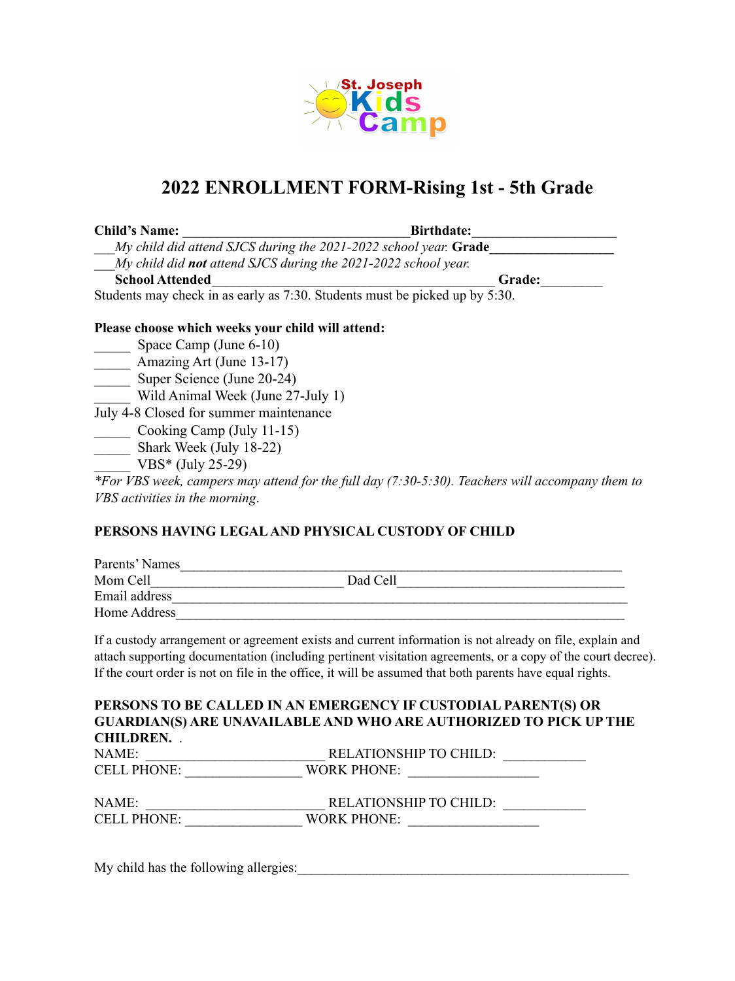

## **2022 ENROLLMENT FORM-Rising 1st - 5th Grade**

| <b>Child's Name:</b>                                                                                            | <b>Birthdate:</b>                                                           |
|-----------------------------------------------------------------------------------------------------------------|-----------------------------------------------------------------------------|
|                                                                                                                 | My child did attend SJCS during the 2021-2022 school year. Grade            |
| My child did not attend SJCS during the 2021-2022 school year.                                                  |                                                                             |
| <b>School Attended</b>                                                                                          | Grade:                                                                      |
|                                                                                                                 | Students may check in as early as 7:30. Students must be picked up by 5:30. |
| Please choose which weeks your child will attend:<br>$0_{\text{max}}$ $0_{\text{max}}$ $(1_{\text{max}}$ $(10)$ |                                                                             |

# Space Camp (June 6-10)

Amazing Art (June 13-17)

 $\frac{1}{2}$  Super Science (June 20-24)

Wild Animal Week (June 27-July 1)

July 4-8 Closed for summer maintenance

Cooking Camp (July 11-15)

\_\_\_\_\_\_ Shark Week (July 18-22)

VBS\* (July 25-29)

*\*For VBS week, campers may attend for the full day (7:30-5:30). Teachers will accompany them to VBS activities in the morning*.

## **PERSONS HAVING LEGALAND PHYSICAL CUSTODY OF CHILD**

| Parents' Names |          |  |
|----------------|----------|--|
| Mom Cell       | Dad Cell |  |
| Email address  |          |  |
| Home Address   |          |  |

If a custody arrangement or agreement exists and current information is not already on file, explain and attach supporting documentation (including pertinent visitation agreements, or a copy of the court decree). If the court order is not on file in the office, it will be assumed that both parents have equal rights.

|                    | PERSONS TO BE CALLED IN AN EMERGENCY IF CUSTODIAL PARENT(S) OR           |
|--------------------|--------------------------------------------------------------------------|
|                    | <b>GUARDIAN(S) ARE UNAVAILABLE AND WHO ARE AUTHORIZED TO PICK UP THE</b> |
| <b>CHILDREN.</b>   |                                                                          |
| NAME:              | <b>RELATIONSHIP TO CHILD:</b>                                            |
| <b>CELL PHONE:</b> | <b>WORK PHONE:</b>                                                       |
| NAME:              | <b>RELATIONSHIP TO CHILD:</b>                                            |
| <b>CELL PHONE:</b> | WORK PHONE:                                                              |
|                    |                                                                          |
|                    |                                                                          |

My child has the following allergies: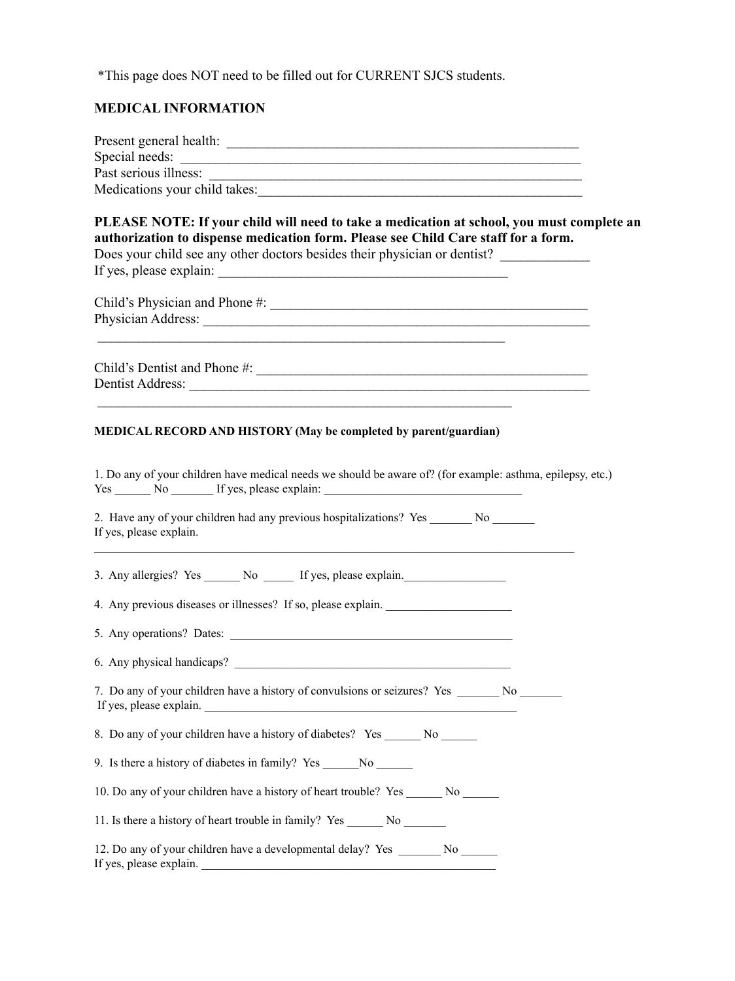\*This page does NOT need to be filled out for CURRENT SJCS students.

## **MEDICAL INFORMATION**

| Medications your child takes:                                                                                                                                                                                                                                |
|--------------------------------------------------------------------------------------------------------------------------------------------------------------------------------------------------------------------------------------------------------------|
| PLEASE NOTE: If your child will need to take a medication at school, you must complete an<br>authorization to dispense medication form. Please see Child Care staff for a form.<br>Does your child see any other doctors besides their physician or dentist? |
| <u> 1989 - Johann John Stone, mars and de final de la provincia de la provincia de la provincia de la provincia d</u>                                                                                                                                        |
|                                                                                                                                                                                                                                                              |
| MEDICAL RECORD AND HISTORY (May be completed by parent/guardian)                                                                                                                                                                                             |
| 1. Do any of your children have medical needs we should be aware of? (for example: asthma, epilepsy, etc.)                                                                                                                                                   |
| 2. Have any of your children had any previous hospitalizations? Yes ________ No _______<br>If yes, please explain.                                                                                                                                           |
| 3. Any allergies? Yes _______ No _______ If yes, please explain.                                                                                                                                                                                             |
| 4. Any previous diseases or illnesses? If so, please explain.                                                                                                                                                                                                |
|                                                                                                                                                                                                                                                              |
|                                                                                                                                                                                                                                                              |
| 7. Do any of your children have a history of convulsions or seizures? Yes _______ No<br>If yes, please explain.                                                                                                                                              |
| 8. Do any of your children have a history of diabetes? Yes No                                                                                                                                                                                                |
| 9. Is there a history of diabetes in family? Yes No                                                                                                                                                                                                          |
| 10. Do any of your children have a history of heart trouble? Yes _______ No                                                                                                                                                                                  |
| 11. Is there a history of heart trouble in family? Yes _________ No                                                                                                                                                                                          |
| 12. Do any of your children have a developmental delay? Yes ________ No _______<br>If yes, please explain.                                                                                                                                                   |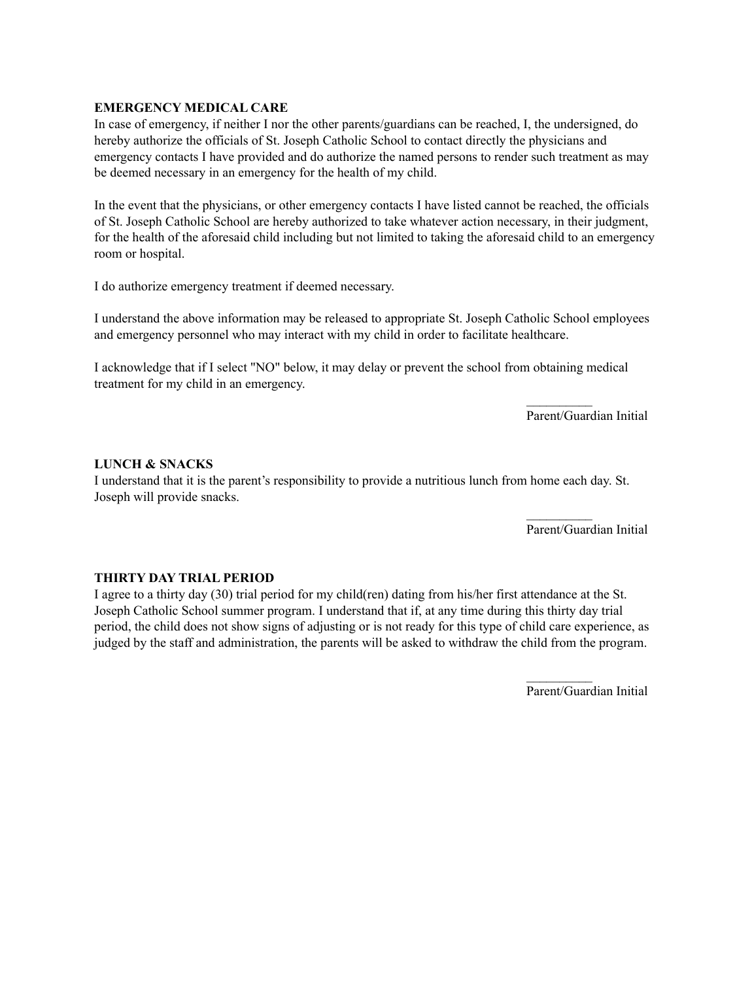#### **EMERGENCY MEDICAL CARE**

In case of emergency, if neither I nor the other parents/guardians can be reached, I, the undersigned, do hereby authorize the officials of St. Joseph Catholic School to contact directly the physicians and emergency contacts I have provided and do authorize the named persons to render such treatment as may be deemed necessary in an emergency for the health of my child.

In the event that the physicians, or other emergency contacts I have listed cannot be reached, the officials of St. Joseph Catholic School are hereby authorized to take whatever action necessary, in their judgment, for the health of the aforesaid child including but not limited to taking the aforesaid child to an emergency room or hospital.

I do authorize emergency treatment if deemed necessary.

I understand the above information may be released to appropriate St. Joseph Catholic School employees and emergency personnel who may interact with my child in order to facilitate healthcare.

I acknowledge that if I select "NO" below, it may delay or prevent the school from obtaining medical treatment for my child in an emergency.

Parent/Guardian Initial

 $\frac{1}{2}$ 

 $\mathcal{L}_\text{max}$ 

#### **LUNCH & SNACKS**

I understand that it is the parent's responsibility to provide a nutritious lunch from home each day. St. Joseph will provide snacks.

Parent/Guardian Initial

#### **THIRTY DAY TRIAL PERIOD**

I agree to a thirty day (30) trial period for my child(ren) dating from his/her first attendance at the St. Joseph Catholic School summer program. I understand that if, at any time during this thirty day trial period, the child does not show signs of adjusting or is not ready for this type of child care experience, as judged by the staff and administration, the parents will be asked to withdraw the child from the program.

Parent/Guardian Initial

 $\mathcal{L}_\text{max}$